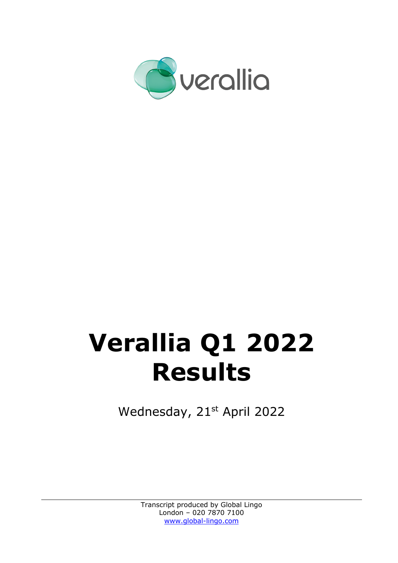

# **Verallia Q1 2022 Results**

Wednesday, 21<sup>st</sup> April 2022

Transcript produced by Global Lingo London – 020 7870 7100 www.global-lingo.com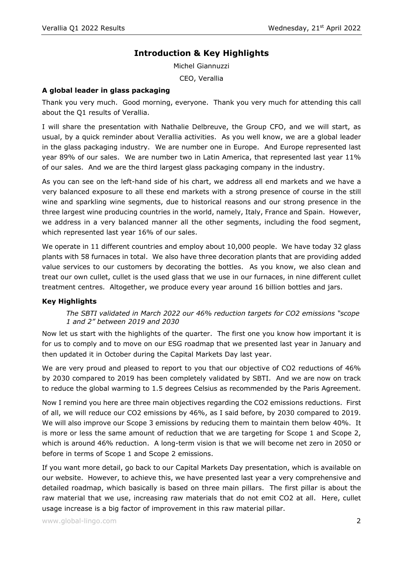# **Introduction & Key Highlights**

Michel Giannuzzi CEO, Verallia

## **A global leader in glass packaging**

Thank you very much. Good morning, everyone. Thank you very much for attending this call about the Q1 results of Verallia.

I will share the presentation with Nathalie Delbreuve, the Group CFO, and we will start, as usual, by a quick reminder about Verallia activities. As you well know, we are a global leader in the glass packaging industry. We are number one in Europe. And Europe represented last year 89% of our sales. We are number two in Latin America, that represented last year 11% of our sales. And we are the third largest glass packaging company in the industry.

As you can see on the left-hand side of his chart, we address all end markets and we have a very balanced exposure to all these end markets with a strong presence of course in the still wine and sparkling wine segments, due to historical reasons and our strong presence in the three largest wine producing countries in the world, namely, Italy, France and Spain. However, we address in a very balanced manner all the other segments, including the food segment, which represented last year 16% of our sales.

We operate in 11 different countries and employ about 10,000 people. We have today 32 glass plants with 58 furnaces in total. We also have three decoration plants that are providing added value services to our customers by decorating the bottles. As you know, we also clean and treat our own cullet, cullet is the used glass that we use in our furnaces, in nine different cullet treatment centres. Altogether, we produce every year around 16 billion bottles and jars.

#### **Key Highlights**

## *The SBTI validated in March 2022 our 46% reduction targets for CO2 emissions "scope 1 and 2" between 2019 and 2030*

Now let us start with the highlights of the quarter. The first one you know how important it is for us to comply and to move on our ESG roadmap that we presented last year in January and then updated it in October during the Capital Markets Day last year.

We are very proud and pleased to report to you that our objective of CO2 reductions of 46% by 2030 compared to 2019 has been completely validated by SBTI. And we are now on track to reduce the global warming to 1.5 degrees Celsius as recommended by the Paris Agreement.

Now I remind you here are three main objectives regarding the CO2 emissions reductions. First of all, we will reduce our CO2 emissions by 46%, as I said before, by 2030 compared to 2019. We will also improve our Scope 3 emissions by reducing them to maintain them below 40%. It is more or less the same amount of reduction that we are targeting for Scope 1 and Scope 2, which is around 46% reduction. A long-term vision is that we will become net zero in 2050 or before in terms of Scope 1 and Scope 2 emissions.

If you want more detail, go back to our Capital Markets Day presentation, which is available on our website. However, to achieve this, we have presented last year a very comprehensive and detailed roadmap, which basically is based on three main pillars. The first pillar is about the raw material that we use, increasing raw materials that do not emit CO2 at all. Here, cullet usage increase is a big factor of improvement in this raw material pillar.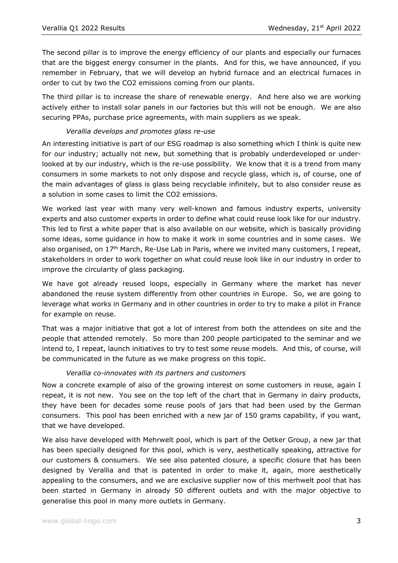The second pillar is to improve the energy efficiency of our plants and especially our furnaces that are the biggest energy consumer in the plants. And for this, we have announced, if you remember in February, that we will develop an hybrid furnace and an electrical furnaces in order to cut by two the CO2 emissions coming from our plants.

The third pillar is to increase the share of renewable energy. And here also we are working actively either to install solar panels in our factories but this will not be enough. We are also securing PPAs, purchase price agreements, with main suppliers as we speak.

## *Verallia develops and promotes glass re-use*

An interesting initiative is part of our ESG roadmap is also something which I think is quite new for our industry; actually not new, but something that is probably underdeveloped or underlooked at by our industry, which is the re-use possibility. We know that it is a trend from many consumers in some markets to not only dispose and recycle glass, which is, of course, one of the main advantages of glass is glass being recyclable infinitely, but to also consider reuse as a solution in some cases to limit the CO2 emissions.

We worked last year with many very well-known and famous industry experts, university experts and also customer experts in order to define what could reuse look like for our industry. This led to first a white paper that is also available on our website, which is basically providing some ideas, some guidance in how to make it work in some countries and in some cases. We also organised, on 17<sup>th</sup> March, Re-Use Lab in Paris, where we invited many customers, I repeat, stakeholders in order to work together on what could reuse look like in our industry in order to improve the circularity of glass packaging.

We have got already reused loops, especially in Germany where the market has never abandoned the reuse system differently from other countries in Europe. So, we are going to leverage what works in Germany and in other countries in order to try to make a pilot in France for example on reuse.

That was a major initiative that got a lot of interest from both the attendees on site and the people that attended remotely. So more than 200 people participated to the seminar and we intend to, I repeat, launch initiatives to try to test some reuse models. And this, of course, will be communicated in the future as we make progress on this topic.

## *Verallia co-innovates with its partners and customers*

Now a concrete example of also of the growing interest on some customers in reuse, again I repeat, it is not new. You see on the top left of the chart that in Germany in dairy products, they have been for decades some reuse pools of jars that had been used by the German consumers. This pool has been enriched with a new jar of 150 grams capability, if you want, that we have developed.

We also have developed with Mehrwelt pool, which is part of the Oetker Group, a new jar that has been specially designed for this pool, which is very, aesthetically speaking, attractive for our customers & consumers. We see also patented closure, a specific closure that has been designed by Verallia and that is patented in order to make it, again, more aesthetically appealing to the consumers, and we are exclusive supplier now of this merhwelt pool that has been started in Germany in already 50 different outlets and with the major objective to generalise this pool in many more outlets in Germany.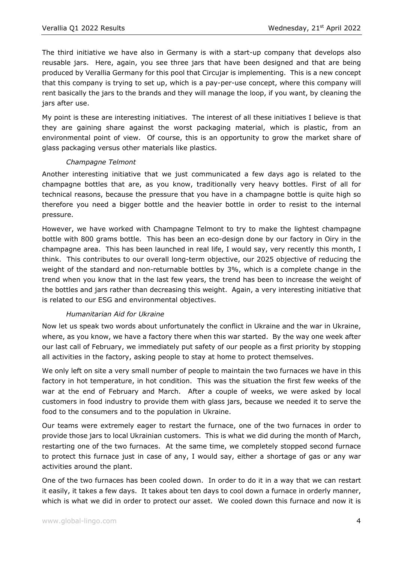The third initiative we have also in Germany is with a start-up company that develops also reusable jars. Here, again, you see three jars that have been designed and that are being produced by Verallia Germany for this pool that Circujar is implementing. This is a new concept that this company is trying to set up, which is a pay-per-use concept, where this company will rent basically the jars to the brands and they will manage the loop, if you want, by cleaning the jars after use.

My point is these are interesting initiatives. The interest of all these initiatives I believe is that they are gaining share against the worst packaging material, which is plastic, from an environmental point of view. Of course, this is an opportunity to grow the market share of glass packaging versus other materials like plastics.

## *Champagne Telmont*

Another interesting initiative that we just communicated a few days ago is related to the champagne bottles that are, as you know, traditionally very heavy bottles. First of all for technical reasons, because the pressure that you have in a champagne bottle is quite high so therefore you need a bigger bottle and the heavier bottle in order to resist to the internal pressure.

However, we have worked with Champagne Telmont to try to make the lightest champagne bottle with 800 grams bottle. This has been an eco-design done by our factory in Oiry in the champagne area. This has been launched in real life, I would say, very recently this month, I think. This contributes to our overall long-term objective, our 2025 objective of reducing the weight of the standard and non-returnable bottles by 3%, which is a complete change in the trend when you know that in the last few years, the trend has been to increase the weight of the bottles and jars rather than decreasing this weight. Again, a very interesting initiative that is related to our ESG and environmental objectives.

# *Humanitarian Aid for Ukraine*

Now let us speak two words about unfortunately the conflict in Ukraine and the war in Ukraine, where, as you know, we have a factory there when this war started. By the way one week after our last call of February, we immediately put safety of our people as a first priority by stopping all activities in the factory, asking people to stay at home to protect themselves.

We only left on site a very small number of people to maintain the two furnaces we have in this factory in hot temperature, in hot condition. This was the situation the first few weeks of the war at the end of February and March. After a couple of weeks, we were asked by local customers in food industry to provide them with glass jars, because we needed it to serve the food to the consumers and to the population in Ukraine.

Our teams were extremely eager to restart the furnace, one of the two furnaces in order to provide those jars to local Ukrainian customers. This is what we did during the month of March, restarting one of the two furnaces. At the same time, we completely stopped second furnace to protect this furnace just in case of any, I would say, either a shortage of gas or any war activities around the plant.

One of the two furnaces has been cooled down. In order to do it in a way that we can restart it easily, it takes a few days. It takes about ten days to cool down a furnace in orderly manner, which is what we did in order to protect our asset. We cooled down this furnace and now it is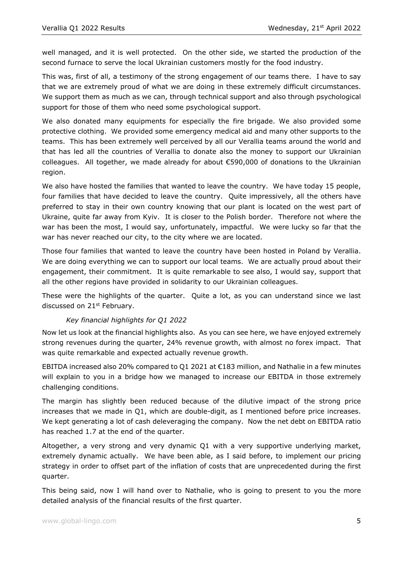well managed, and it is well protected. On the other side, we started the production of the second furnace to serve the local Ukrainian customers mostly for the food industry.

This was, first of all, a testimony of the strong engagement of our teams there. I have to say that we are extremely proud of what we are doing in these extremely difficult circumstances. We support them as much as we can, through technical support and also through psychological support for those of them who need some psychological support.

We also donated many equipments for especially the fire brigade. We also provided some protective clothing. We provided some emergency medical aid and many other supports to the teams. This has been extremely well perceived by all our Verallia teams around the world and that has led all the countries of Verallia to donate also the money to support our Ukrainian colleagues. All together, we made already for about €590,000 of donations to the Ukrainian region.

We also have hosted the families that wanted to leave the country. We have today 15 people, four families that have decided to leave the country. Quite impressively, all the others have preferred to stay in their own country knowing that our plant is located on the west part of Ukraine, quite far away from Kyiv. It is closer to the Polish border. Therefore not where the war has been the most, I would say, unfortunately, impactful. We were lucky so far that the war has never reached our city, to the city where we are located.

Those four families that wanted to leave the country have been hosted in Poland by Verallia. We are doing everything we can to support our local teams. We are actually proud about their engagement, their commitment. It is quite remarkable to see also, I would say, support that all the other regions have provided in solidarity to our Ukrainian colleagues.

These were the highlights of the quarter. Quite a lot, as you can understand since we last discussed on 21<sup>st</sup> February.

# *Key financial highlights for Q1 2022*

Now let us look at the financial highlights also. As you can see here, we have enjoyed extremely strong revenues during the quarter, 24% revenue growth, with almost no forex impact. That was quite remarkable and expected actually revenue growth.

EBITDA increased also 20% compared to Q1 2021 at €183 million, and Nathalie in a few minutes will explain to you in a bridge how we managed to increase our EBITDA in those extremely challenging conditions.

The margin has slightly been reduced because of the dilutive impact of the strong price increases that we made in Q1, which are double-digit, as I mentioned before price increases. We kept generating a lot of cash deleveraging the company. Now the net debt on EBITDA ratio has reached 1.7 at the end of the quarter.

Altogether, a very strong and very dynamic Q1 with a very supportive underlying market, extremely dynamic actually. We have been able, as I said before, to implement our pricing strategy in order to offset part of the inflation of costs that are unprecedented during the first quarter.

This being said, now I will hand over to Nathalie, who is going to present to you the more detailed analysis of the financial results of the first quarter.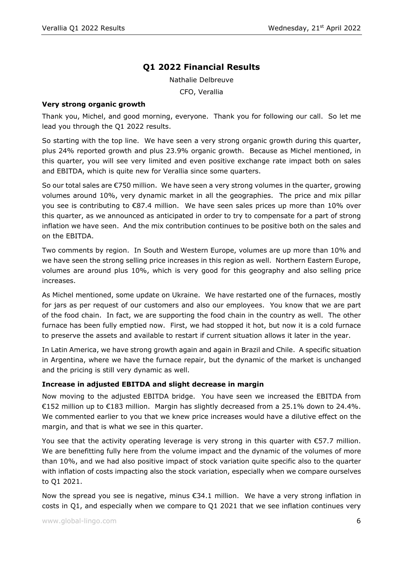# **Q1 2022 Financial Results**

Nathalie Delbreuve

CFO, Verallia

#### **Very strong organic growth**

Thank you, Michel, and good morning, everyone. Thank you for following our call. So let me lead you through the Q1 2022 results.

So starting with the top line. We have seen a very strong organic growth during this quarter, plus 24% reported growth and plus 23.9% organic growth. Because as Michel mentioned, in this quarter, you will see very limited and even positive exchange rate impact both on sales and EBITDA, which is quite new for Verallia since some quarters.

So our total sales are €750 million. We have seen a very strong volumes in the quarter, growing volumes around 10%, very dynamic market in all the geographies. The price and mix pillar you see is contributing to €87.4 million. We have seen sales prices up more than 10% over this quarter, as we announced as anticipated in order to try to compensate for a part of strong inflation we have seen. And the mix contribution continues to be positive both on the sales and on the EBITDA.

Two comments by region. In South and Western Europe, volumes are up more than 10% and we have seen the strong selling price increases in this region as well. Northern Eastern Europe, volumes are around plus 10%, which is very good for this geography and also selling price increases.

As Michel mentioned, some update on Ukraine. We have restarted one of the furnaces, mostly for jars as per request of our customers and also our employees. You know that we are part of the food chain. In fact, we are supporting the food chain in the country as well. The other furnace has been fully emptied now. First, we had stopped it hot, but now it is a cold furnace to preserve the assets and available to restart if current situation allows it later in the year.

In Latin America, we have strong growth again and again in Brazil and Chile. A specific situation in Argentina, where we have the furnace repair, but the dynamic of the market is unchanged and the pricing is still very dynamic as well.

## **Increase in adjusted EBITDA and slight decrease in margin**

Now moving to the adjusted EBITDA bridge. You have seen we increased the EBITDA from €152 million up to €183 million. Margin has slightly decreased from a 25.1% down to 24.4%. We commented earlier to you that we knew price increases would have a dilutive effect on the margin, and that is what we see in this quarter.

You see that the activity operating leverage is very strong in this quarter with €57.7 million. We are benefitting fully here from the volume impact and the dynamic of the volumes of more than 10%, and we had also positive impact of stock variation quite specific also to the quarter with inflation of costs impacting also the stock variation, especially when we compare ourselves to Q1 2021.

Now the spread you see is negative, minus  $\epsilon$ 34.1 million. We have a very strong inflation in costs in Q1, and especially when we compare to Q1 2021 that we see inflation continues very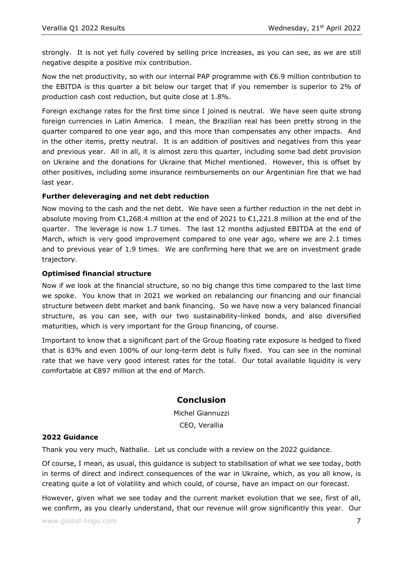strongly. It is not yet fully covered by selling price increases, as you can see, as we are still negative despite a positive mix contribution.

Now the net productivity, so with our internal PAP programme with  $\epsilon$ 6.9 million contribution to the EBITDA is this quarter a bit below our target that if you remember is superior to 2% of production cash cost reduction, but quite close at 1.8%.

Foreign exchange rates for the first time since I joined is neutral. We have seen quite strong foreign currencies in Latin America. I mean, the Brazilian real has been pretty strong in the quarter compared to one year ago, and this more than compensates any other impacts. And in the other items, pretty neutral. It is an addition of positives and negatives from this year and previous year. All in all, it is almost zero this quarter, including some bad debt provision on Ukraine and the donations for Ukraine that Michel mentioned. However, this is offset by other positives, including some insurance reimbursements on our Argentinian fire that we had last year.

## **Further deleveraging and net debt reduction**

Now moving to the cash and the net debt. We have seen a further reduction in the net debt in absolute moving from €1,268.4 million at the end of 2021 to €1,221.8 million at the end of the quarter. The leverage is now 1.7 times. The last 12 months adjusted EBITDA at the end of March, which is very good improvement compared to one year ago, where we are 2.1 times and to previous year of 1.9 times. We are confirming here that we are on investment grade trajectory.

## **Optimised financial structure**

Now if we look at the financial structure, so no big change this time compared to the last time we spoke. You know that in 2021 we worked on rebalancing our financing and our financial structure between debt market and bank financing. So we have now a very balanced financial structure, as you can see, with our two sustainability-linked bonds, and also diversified maturities, which is very important for the Group financing, of course.

Important to know that a significant part of the Group floating rate exposure is hedged to fixed that is 83% and even 100% of our long-term debt is fully fixed. You can see in the nominal rate that we have very good interest rates for the total. Our total available liquidity is very comfortable at €897 million at the end of March.

# **Conclusion**

Michel Giannuzzi CEO, Verallia

## **2022 Guidance**

Thank you very much, Nathalie. Let us conclude with a review on the 2022 guidance.

Of course, I mean, as usual, this guidance is subject to stabilisation of what we see today, both in terms of direct and indirect consequences of the war in Ukraine, which, as you all know, is creating quite a lot of volatility and which could, of course, have an impact on our forecast.

However, given what we see today and the current market evolution that we see, first of all, we confirm, as you clearly understand, that our revenue will grow significantly this year. Our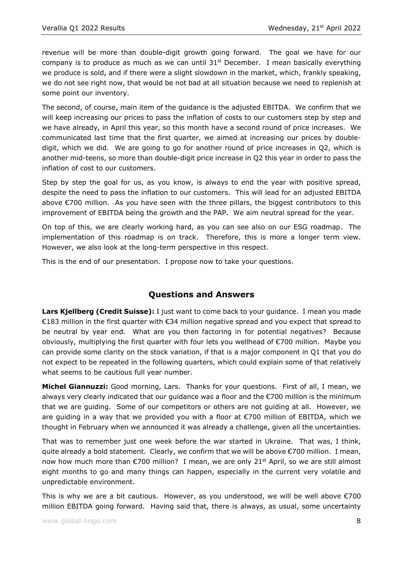revenue will be more than double-digit growth going forward. The goal we have for our company is to produce as much as we can until  $31<sup>st</sup>$  December. I mean basically everything we produce is sold, and if there were a slight slowdown in the market, which, frankly speaking, we do not see right now, that would be not bad at all situation because we need to replenish at some point our inventory.

The second, of course, main item of the guidance is the adjusted EBITDA. We confirm that we will keep increasing our prices to pass the inflation of costs to our customers step by step and we have already, in April this year, so this month have a second round of price increases. We communicated last time that the first quarter, we aimed at increasing our prices by doubledigit, which we did. We are going to go for another round of price increases in Q2, which is another mid-teens, so more than double-digit price increase in Q2 this year in order to pass the inflation of cost to our customers.

Step by step the goal for us, as you know, is always to end the year with positive spread, despite the need to pass the inflation to our customers. This will lead for an adjusted EBITDA above €700 million. As you have seen with the three pillars, the biggest contributors to this improvement of EBITDA being the growth and the PAP. We aim neutral spread for the year.

On top of this, we are clearly working hard, as you can see also on our ESG roadmap. The implementation of this roadmap is on track. Therefore, this is more a longer term view. However, we also look at the long-term perspective in this respect.

This is the end of our presentation. I propose now to take your questions.

# **Questions and Answers**

**Lars Kjellberg (Credit Suisse):** I just want to come back to your guidance. I mean you made €183 million in the first quarter with €34 million negative spread and you expect that spread to be neutral by year end. What are you then factoring in for potential negatives? Because obviously, multiplying the first quarter with four lets you wellhead of €700 million. Maybe you can provide some clarity on the stock variation, if that is a major component in Q1 that you do not expect to be repeated in the following quarters, which could explain some of that relatively what seems to be cautious full year number.

**Michel Giannuzzi:** Good morning, Lars. Thanks for your questions. First of all, I mean, we always very clearly indicated that our guidance was a floor and the €700 million is the minimum that we are guiding. Some of our competitors or others are not guiding at all. However, we are guiding in a way that we provided you with a floor at €700 million of EBITDA, which we thought in February when we announced it was already a challenge, given all the uncertainties.

That was to remember just one week before the war started in Ukraine. That was, I think, quite already a bold statement. Clearly, we confirm that we will be above €700 million. I mean, now how much more than  $\epsilon$ 700 million? I mean, we are only 21<sup>st</sup> April, so we are still almost eight months to go and many things can happen, especially in the current very volatile and unpredictable environment.

This is why we are a bit cautious. However, as you understood, we will be well above  $\epsilon$ 700 million EBITDA going forward. Having said that, there is always, as usual, some uncertainty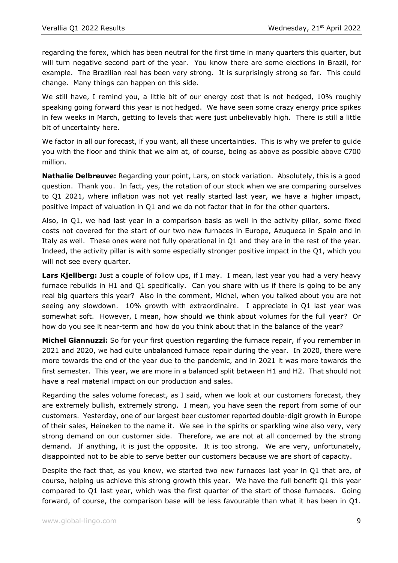regarding the forex, which has been neutral for the first time in many quarters this quarter, but will turn negative second part of the year. You know there are some elections in Brazil, for example. The Brazilian real has been very strong. It is surprisingly strong so far. This could change. Many things can happen on this side.

We still have, I remind you, a little bit of our energy cost that is not hedged, 10% roughly speaking going forward this year is not hedged. We have seen some crazy energy price spikes in few weeks in March, getting to levels that were just unbelievably high. There is still a little bit of uncertainty here.

We factor in all our forecast, if you want, all these uncertainties. This is why we prefer to guide you with the floor and think that we aim at, of course, being as above as possible above  $\epsilon$ 700 million.

**Nathalie Delbreuve:** Regarding your point, Lars, on stock variation. Absolutely, this is a good question. Thank you. In fact, yes, the rotation of our stock when we are comparing ourselves to Q1 2021, where inflation was not yet really started last year, we have a higher impact, positive impact of valuation in Q1 and we do not factor that in for the other quarters.

Also, in Q1, we had last year in a comparison basis as well in the activity pillar, some fixed costs not covered for the start of our two new furnaces in Europe, Azuqueca in Spain and in Italy as well. These ones were not fully operational in Q1 and they are in the rest of the year. Indeed, the activity pillar is with some especially stronger positive impact in the Q1, which you will not see every quarter.

**Lars Kjellberg:** Just a couple of follow ups, if I may. I mean, last year you had a very heavy furnace rebuilds in H1 and Q1 specifically. Can you share with us if there is going to be any real big quarters this year? Also in the comment, Michel, when you talked about you are not seeing any slowdown. 10% growth with extraordinaire. I appreciate in Q1 last year was somewhat soft. However, I mean, how should we think about volumes for the full year? Or how do you see it near-term and how do you think about that in the balance of the year?

**Michel Giannuzzi:** So for your first question regarding the furnace repair, if you remember in 2021 and 2020, we had quite unbalanced furnace repair during the year. In 2020, there were more towards the end of the year due to the pandemic, and in 2021 it was more towards the first semester. This year, we are more in a balanced split between H1 and H2. That should not have a real material impact on our production and sales.

Regarding the sales volume forecast, as I said, when we look at our customers forecast, they are extremely bullish, extremely strong. I mean, you have seen the report from some of our customers. Yesterday, one of our largest beer customer reported double-digit growth in Europe of their sales, Heineken to the name it. We see in the spirits or sparkling wine also very, very strong demand on our customer side. Therefore, we are not at all concerned by the strong demand. If anything, it is just the opposite. It is too strong. We are very, unfortunately, disappointed not to be able to serve better our customers because we are short of capacity.

Despite the fact that, as you know, we started two new furnaces last year in Q1 that are, of course, helping us achieve this strong growth this year. We have the full benefit Q1 this year compared to Q1 last year, which was the first quarter of the start of those furnaces. Going forward, of course, the comparison base will be less favourable than what it has been in Q1.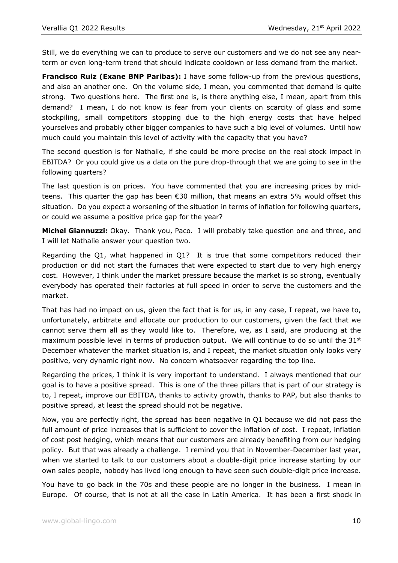Still, we do everything we can to produce to serve our customers and we do not see any nearterm or even long-term trend that should indicate cooldown or less demand from the market.

**Francisco Ruiz (Exane BNP Paribas):** I have some follow-up from the previous questions, and also an another one. On the volume side, I mean, you commented that demand is quite strong. Two questions here. The first one is, is there anything else, I mean, apart from this demand? I mean, I do not know is fear from your clients on scarcity of glass and some stockpiling, small competitors stopping due to the high energy costs that have helped yourselves and probably other bigger companies to have such a big level of volumes. Until how much could you maintain this level of activity with the capacity that you have?

The second question is for Nathalie, if she could be more precise on the real stock impact in EBITDA? Or you could give us a data on the pure drop-through that we are going to see in the following quarters?

The last question is on prices. You have commented that you are increasing prices by midteens. This quarter the gap has been €30 million, that means an extra 5% would offset this situation. Do you expect a worsening of the situation in terms of inflation for following quarters, or could we assume a positive price gap for the year?

**Michel Giannuzzi:** Okay. Thank you, Paco. I will probably take question one and three, and I will let Nathalie answer your question two.

Regarding the Q1, what happened in Q1? It is true that some competitors reduced their production or did not start the furnaces that were expected to start due to very high energy cost. However, I think under the market pressure because the market is so strong, eventually everybody has operated their factories at full speed in order to serve the customers and the market.

That has had no impact on us, given the fact that is for us, in any case, I repeat, we have to, unfortunately, arbitrate and allocate our production to our customers, given the fact that we cannot serve them all as they would like to. Therefore, we, as I said, are producing at the maximum possible level in terms of production output. We will continue to do so until the  $31^{st}$ December whatever the market situation is, and I repeat, the market situation only looks very positive, very dynamic right now. No concern whatsoever regarding the top line.

Regarding the prices, I think it is very important to understand. I always mentioned that our goal is to have a positive spread. This is one of the three pillars that is part of our strategy is to, I repeat, improve our EBITDA, thanks to activity growth, thanks to PAP, but also thanks to positive spread, at least the spread should not be negative.

Now, you are perfectly right, the spread has been negative in Q1 because we did not pass the full amount of price increases that is sufficient to cover the inflation of cost. I repeat, inflation of cost post hedging, which means that our customers are already benefiting from our hedging policy. But that was already a challenge. I remind you that in November-December last year, when we started to talk to our customers about a double-digit price increase starting by our own sales people, nobody has lived long enough to have seen such double-digit price increase.

You have to go back in the 70s and these people are no longer in the business. I mean in Europe. Of course, that is not at all the case in Latin America. It has been a first shock in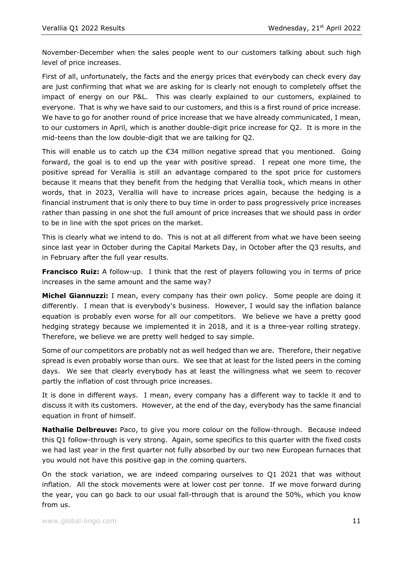November-December when the sales people went to our customers talking about such high level of price increases.

First of all, unfortunately, the facts and the energy prices that everybody can check every day are just confirming that what we are asking for is clearly not enough to completely offset the impact of energy on our P&L. This was clearly explained to our customers, explained to everyone. That is why we have said to our customers, and this is a first round of price increase. We have to go for another round of price increase that we have already communicated, I mean, to our customers in April, which is another double-digit price increase for Q2. It is more in the mid-teens than the low double-digit that we are talking for Q2.

This will enable us to catch up the  $\epsilon$ 34 million negative spread that you mentioned. Going forward, the goal is to end up the year with positive spread. I repeat one more time, the positive spread for Verallia is still an advantage compared to the spot price for customers because it means that they benefit from the hedging that Verallia took, which means in other words, that in 2023, Verallia will have to increase prices again, because the hedging is a financial instrument that is only there to buy time in order to pass progressively price increases rather than passing in one shot the full amount of price increases that we should pass in order to be in line with the spot prices on the market.

This is clearly what we intend to do. This is not at all different from what we have been seeing since last year in October during the Capital Markets Day, in October after the Q3 results, and in February after the full year results.

**Francisco Ruiz:** A follow-up. I think that the rest of players following you in terms of price increases in the same amount and the same way?

**Michel Giannuzzi:** I mean, every company has their own policy. Some people are doing it differently. I mean that is everybody's business. However, I would say the inflation balance equation is probably even worse for all our competitors. We believe we have a pretty good hedging strategy because we implemented it in 2018, and it is a three-year rolling strategy. Therefore, we believe we are pretty well hedged to say simple.

Some of our competitors are probably not as well hedged than we are. Therefore, their negative spread is even probably worse than ours. We see that at least for the listed peers in the coming days. We see that clearly everybody has at least the willingness what we seem to recover partly the inflation of cost through price increases.

It is done in different ways. I mean, every company has a different way to tackle it and to discuss it with its customers. However, at the end of the day, everybody has the same financial equation in front of himself.

**Nathalie Delbreuve:** Paco, to give you more colour on the follow-through. Because indeed this Q1 follow-through is very strong. Again, some specifics to this quarter with the fixed costs we had last year in the first quarter not fully absorbed by our two new European furnaces that you would not have this positive gap in the coming quarters.

On the stock variation, we are indeed comparing ourselves to Q1 2021 that was without inflation. All the stock movements were at lower cost per tonne. If we move forward during the year, you can go back to our usual fall-through that is around the 50%, which you know from us.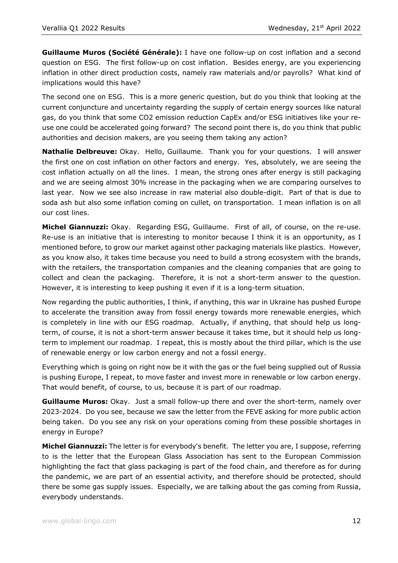**Guillaume Muros (Société Générale):** I have one follow-up on cost inflation and a second question on ESG. The first follow-up on cost inflation. Besides energy, are you experiencing inflation in other direct production costs, namely raw materials and/or payrolls? What kind of implications would this have?

The second one on ESG. This is a more generic question, but do you think that looking at the current conjuncture and uncertainty regarding the supply of certain energy sources like natural gas, do you think that some CO2 emission reduction CapEx and/or ESG initiatives like your reuse one could be accelerated going forward? The second point there is, do you think that public authorities and decision makers, are you seeing them taking any action?

**Nathalie Delbreuve:** Okay. Hello, Guillaume. Thank you for your questions. I will answer the first one on cost inflation on other factors and energy. Yes, absolutely, we are seeing the cost inflation actually on all the lines. I mean, the strong ones after energy is still packaging and we are seeing almost 30% increase in the packaging when we are comparing ourselves to last year. Now we see also increase in raw material also double-digit. Part of that is due to soda ash but also some inflation coming on cullet, on transportation. I mean inflation is on all our cost lines.

**Michel Giannuzzi:** Okay. Regarding ESG, Guillaume. First of all, of course, on the re-use. Re-use is an initiative that is interesting to monitor because I think it is an opportunity, as I mentioned before, to grow our market against other packaging materials like plastics. However, as you know also, it takes time because you need to build a strong ecosystem with the brands, with the retailers, the transportation companies and the cleaning companies that are going to collect and clean the packaging. Therefore, it is not a short-term answer to the question. However, it is interesting to keep pushing it even if it is a long-term situation.

Now regarding the public authorities, I think, if anything, this war in Ukraine has pushed Europe to accelerate the transition away from fossil energy towards more renewable energies, which is completely in line with our ESG roadmap. Actually, if anything, that should help us longterm, of course, it is not a short-term answer because it takes time, but it should help us longterm to implement our roadmap. I repeat, this is mostly about the third pillar, which is the use of renewable energy or low carbon energy and not a fossil energy.

Everything which is going on right now be it with the gas or the fuel being supplied out of Russia is pushing Europe, I repeat, to move faster and invest more in renewable or low carbon energy. That would benefit, of course, to us, because it is part of our roadmap.

**Guillaume Muros:** Okay. Just a small follow-up there and over the short-term, namely over 2023-2024. Do you see, because we saw the letter from the FEVE asking for more public action being taken. Do you see any risk on your operations coming from these possible shortages in energy in Europe?

**Michel Giannuzzi:** The letter is for everybody's benefit. The letter you are, I suppose, referring to is the letter that the European Glass Association has sent to the European Commission highlighting the fact that glass packaging is part of the food chain, and therefore as for during the pandemic, we are part of an essential activity, and therefore should be protected, should there be some gas supply issues. Especially, we are talking about the gas coming from Russia, everybody understands.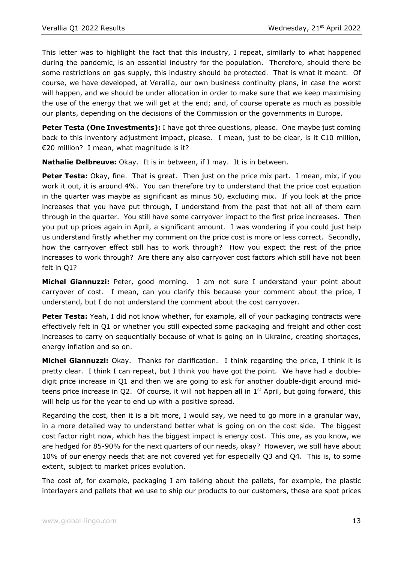This letter was to highlight the fact that this industry, I repeat, similarly to what happened during the pandemic, is an essential industry for the population. Therefore, should there be some restrictions on gas supply, this industry should be protected. That is what it meant. Of course, we have developed, at Verallia, our own business continuity plans, in case the worst will happen, and we should be under allocation in order to make sure that we keep maximising the use of the energy that we will get at the end; and, of course operate as much as possible our plants, depending on the decisions of the Commission or the governments in Europe.

Peter Testa (One Investments): I have got three questions, please. One maybe just coming back to this inventory adjustment impact, please. I mean, just to be clear, is it €10 million, €20 million? I mean, what magnitude is it?

**Nathalie Delbreuve:** Okay. It is in between, if I may. It is in between.

**Peter Testa:** Okay, fine. That is great. Then just on the price mix part. I mean, mix, if you work it out, it is around 4%. You can therefore try to understand that the price cost equation in the quarter was maybe as significant as minus 50, excluding mix. If you look at the price increases that you have put through, I understand from the past that not all of them earn through in the quarter. You still have some carryover impact to the first price increases. Then you put up prices again in April, a significant amount. I was wondering if you could just help us understand firstly whether my comment on the price cost is more or less correct. Secondly, how the carryover effect still has to work through? How you expect the rest of the price increases to work through? Are there any also carryover cost factors which still have not been felt in Q1?

**Michel Giannuzzi:** Peter, good morning. I am not sure I understand your point about carryover of cost. I mean, can you clarify this because your comment about the price, I understand, but I do not understand the comment about the cost carryover.

**Peter Testa:** Yeah, I did not know whether, for example, all of your packaging contracts were effectively felt in Q1 or whether you still expected some packaging and freight and other cost increases to carry on sequentially because of what is going on in Ukraine, creating shortages, energy inflation and so on.

**Michel Giannuzzi:** Okay. Thanks for clarification. I think regarding the price, I think it is pretty clear. I think I can repeat, but I think you have got the point. We have had a doubledigit price increase in Q1 and then we are going to ask for another double-digit around midteens price increase in Q2. Of course, it will not happen all in  $1<sup>st</sup>$  April, but going forward, this will help us for the year to end up with a positive spread.

Regarding the cost, then it is a bit more, I would say, we need to go more in a granular way, in a more detailed way to understand better what is going on on the cost side. The biggest cost factor right now, which has the biggest impact is energy cost. This one, as you know, we are hedged for 85-90% for the next quarters of our needs, okay? However, we still have about 10% of our energy needs that are not covered yet for especially Q3 and Q4. This is, to some extent, subject to market prices evolution.

The cost of, for example, packaging I am talking about the pallets, for example, the plastic interlayers and pallets that we use to ship our products to our customers, these are spot prices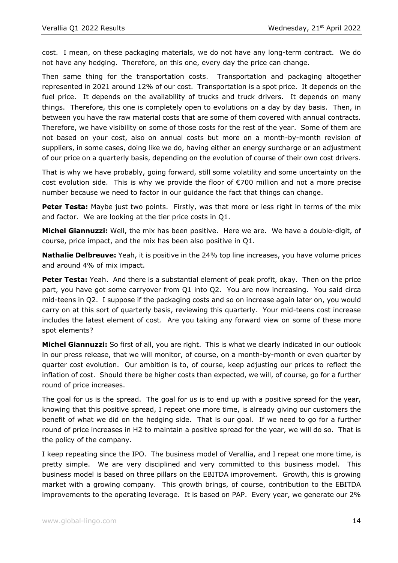cost. I mean, on these packaging materials, we do not have any long-term contract. We do not have any hedging. Therefore, on this one, every day the price can change.

Then same thing for the transportation costs. Transportation and packaging altogether represented in 2021 around 12% of our cost. Transportation is a spot price. It depends on the fuel price. It depends on the availability of trucks and truck drivers. It depends on many things. Therefore, this one is completely open to evolutions on a day by day basis. Then, in between you have the raw material costs that are some of them covered with annual contracts. Therefore, we have visibility on some of those costs for the rest of the year. Some of them are not based on your cost, also on annual costs but more on a month-by-month revision of suppliers, in some cases, doing like we do, having either an energy surcharge or an adjustment of our price on a quarterly basis, depending on the evolution of course of their own cost drivers.

That is why we have probably, going forward, still some volatility and some uncertainty on the cost evolution side. This is why we provide the floor of €700 million and not a more precise number because we need to factor in our guidance the fact that things can change.

**Peter Testa:** Maybe just two points. Firstly, was that more or less right in terms of the mix and factor. We are looking at the tier price costs in Q1.

**Michel Giannuzzi:** Well, the mix has been positive. Here we are. We have a double-digit, of course, price impact, and the mix has been also positive in Q1.

**Nathalie Delbreuve:** Yeah, it is positive in the 24% top line increases, you have volume prices and around 4% of mix impact.

**Peter Testa:** Yeah. And there is a substantial element of peak profit, okay. Then on the price part, you have got some carryover from Q1 into Q2. You are now increasing. You said circa mid-teens in Q2. I suppose if the packaging costs and so on increase again later on, you would carry on at this sort of quarterly basis, reviewing this quarterly. Your mid-teens cost increase includes the latest element of cost. Are you taking any forward view on some of these more spot elements?

**Michel Giannuzzi:** So first of all, you are right. This is what we clearly indicated in our outlook in our press release, that we will monitor, of course, on a month-by-month or even quarter by quarter cost evolution. Our ambition is to, of course, keep adjusting our prices to reflect the inflation of cost. Should there be higher costs than expected, we will, of course, go for a further round of price increases.

The goal for us is the spread. The goal for us is to end up with a positive spread for the year, knowing that this positive spread, I repeat one more time, is already giving our customers the benefit of what we did on the hedging side. That is our goal. If we need to go for a further round of price increases in H2 to maintain a positive spread for the year, we will do so. That is the policy of the company.

I keep repeating since the IPO. The business model of Verallia, and I repeat one more time, is pretty simple. We are very disciplined and very committed to this business model. This business model is based on three pillars on the EBITDA improvement. Growth, this is growing market with a growing company. This growth brings, of course, contribution to the EBITDA improvements to the operating leverage. It is based on PAP. Every year, we generate our 2%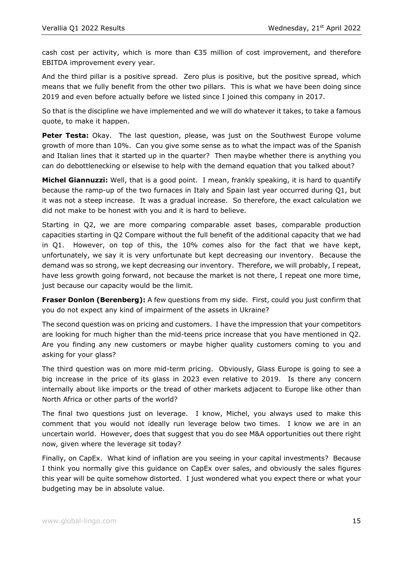cash cost per activity, which is more than €35 million of cost improvement, and therefore EBITDA improvement every year.

And the third pillar is a positive spread. Zero plus is positive, but the positive spread, which means that we fully benefit from the other two pillars. This is what we have been doing since 2019 and even before actually before we listed since I joined this company in 2017.

So that is the discipline we have implemented and we will do whatever it takes, to take a famous quote, to make it happen.

**Peter Testa:** Okay. The last question, please, was just on the Southwest Europe volume growth of more than 10%. Can you give some sense as to what the impact was of the Spanish and Italian lines that it started up in the quarter? Then maybe whether there is anything you can do debottlenecking or elsewise to help with the demand equation that you talked about?

**Michel Giannuzzi:** Well, that is a good point. I mean, frankly speaking, it is hard to quantify because the ramp-up of the two furnaces in Italy and Spain last year occurred during Q1, but it was not a steep increase. It was a gradual increase. So therefore, the exact calculation we did not make to be honest with you and it is hard to believe.

Starting in Q2, we are more comparing comparable asset bases, comparable production capacities starting in Q2 Compare without the full benefit of the additional capacity that we had in Q1. However, on top of this, the 10% comes also for the fact that we have kept, unfortunately, we say it is very unfortunate but kept decreasing our inventory. Because the demand was so strong, we kept decreasing our inventory. Therefore, we will probably, I repeat, have less growth going forward, not because the market is not there, I repeat one more time, just because our capacity would be the limit.

**Fraser Donlon (Berenberg):** A few questions from my side. First, could you just confirm that you do not expect any kind of impairment of the assets in Ukraine?

The second question was on pricing and customers. I have the impression that your competitors are looking for much higher than the mid-teens price increase that you have mentioned in Q2. Are you finding any new customers or maybe higher quality customers coming to you and asking for your glass?

The third question was on more mid-term pricing. Obviously, Glass Europe is going to see a big increase in the price of its glass in 2023 even relative to 2019. Is there any concern internally about like imports or the tread of other markets adjacent to Europe like other than North Africa or other parts of the world?

The final two questions just on leverage. I know, Michel, you always used to make this comment that you would not ideally run leverage below two times. I know we are in an uncertain world. However, does that suggest that you do see M&A opportunities out there right now, given where the leverage sit today?

Finally, on CapEx. What kind of inflation are you seeing in your capital investments? Because I think you normally give this guidance on CapEx over sales, and obviously the sales figures this year will be quite somehow distorted. I just wondered what you expect there or what your budgeting may be in absolute value.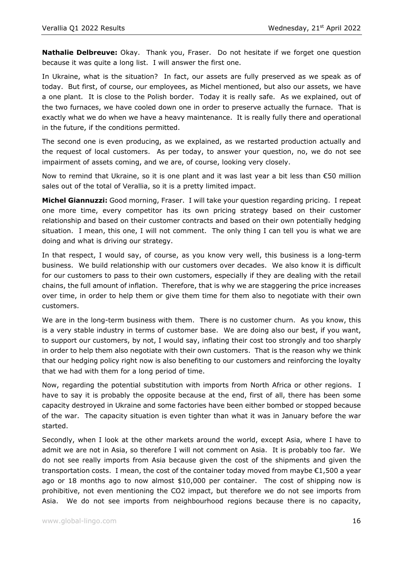**Nathalie Delbreuve:** Okay. Thank you, Fraser. Do not hesitate if we forget one question because it was quite a long list. I will answer the first one.

In Ukraine, what is the situation? In fact, our assets are fully preserved as we speak as of today. But first, of course, our employees, as Michel mentioned, but also our assets, we have a one plant. It is close to the Polish border. Today it is really safe. As we explained, out of the two furnaces, we have cooled down one in order to preserve actually the furnace. That is exactly what we do when we have a heavy maintenance. It is really fully there and operational in the future, if the conditions permitted.

The second one is even producing, as we explained, as we restarted production actually and the request of local customers. As per today, to answer your question, no, we do not see impairment of assets coming, and we are, of course, looking very closely.

Now to remind that Ukraine, so it is one plant and it was last year a bit less than €50 million sales out of the total of Verallia, so it is a pretty limited impact.

**Michel Giannuzzi:** Good morning, Fraser. I will take your question regarding pricing. I repeat one more time, every competitor has its own pricing strategy based on their customer relationship and based on their customer contracts and based on their own potentially hedging situation. I mean, this one, I will not comment. The only thing I can tell you is what we are doing and what is driving our strategy.

In that respect, I would say, of course, as you know very well, this business is a long-term business. We build relationship with our customers over decades. We also know it is difficult for our customers to pass to their own customers, especially if they are dealing with the retail chains, the full amount of inflation. Therefore, that is why we are staggering the price increases over time, in order to help them or give them time for them also to negotiate with their own customers.

We are in the long-term business with them. There is no customer churn. As you know, this is a very stable industry in terms of customer base. We are doing also our best, if you want, to support our customers, by not, I would say, inflating their cost too strongly and too sharply in order to help them also negotiate with their own customers. That is the reason why we think that our hedging policy right now is also benefiting to our customers and reinforcing the loyalty that we had with them for a long period of time.

Now, regarding the potential substitution with imports from North Africa or other regions. I have to say it is probably the opposite because at the end, first of all, there has been some capacity destroyed in Ukraine and some factories have been either bombed or stopped because of the war. The capacity situation is even tighter than what it was in January before the war started.

Secondly, when I look at the other markets around the world, except Asia, where I have to admit we are not in Asia, so therefore I will not comment on Asia. It is probably too far. We do not see really imports from Asia because given the cost of the shipments and given the transportation costs. I mean, the cost of the container today moved from maybe €1,500 a year ago or 18 months ago to now almost \$10,000 per container. The cost of shipping now is prohibitive, not even mentioning the CO2 impact, but therefore we do not see imports from Asia. We do not see imports from neighbourhood regions because there is no capacity,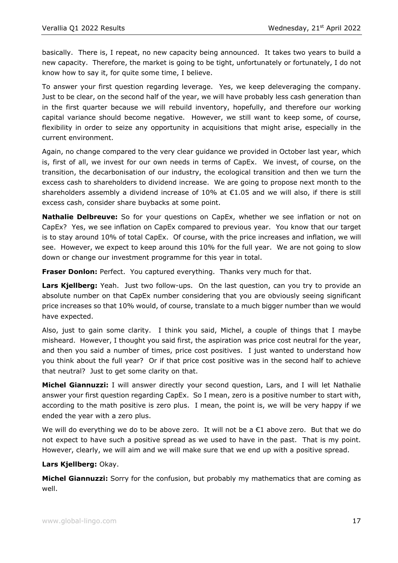basically. There is, I repeat, no new capacity being announced. It takes two years to build a new capacity. Therefore, the market is going to be tight, unfortunately or fortunately, I do not know how to say it, for quite some time, I believe.

To answer your first question regarding leverage. Yes, we keep deleveraging the company. Just to be clear, on the second half of the year, we will have probably less cash generation than in the first quarter because we will rebuild inventory, hopefully, and therefore our working capital variance should become negative. However, we still want to keep some, of course, flexibility in order to seize any opportunity in acquisitions that might arise, especially in the current environment.

Again, no change compared to the very clear guidance we provided in October last year, which is, first of all, we invest for our own needs in terms of CapEx. We invest, of course, on the transition, the decarbonisation of our industry, the ecological transition and then we turn the excess cash to shareholders to dividend increase. We are going to propose next month to the shareholders assembly a dividend increase of  $10\%$  at  $\epsilon$ 1.05 and we will also, if there is still excess cash, consider share buybacks at some point.

**Nathalie Delbreuve:** So for your questions on CapEx, whether we see inflation or not on CapEx? Yes, we see inflation on CapEx compared to previous year. You know that our target is to stay around 10% of total CapEx. Of course, with the price increases and inflation, we will see. However, we expect to keep around this 10% for the full year. We are not going to slow down or change our investment programme for this year in total.

**Fraser Donlon:** Perfect. You captured everything. Thanks very much for that.

**Lars Kjellberg:** Yeah. Just two follow-ups. On the last question, can you try to provide an absolute number on that CapEx number considering that you are obviously seeing significant price increases so that 10% would, of course, translate to a much bigger number than we would have expected.

Also, just to gain some clarity. I think you said, Michel, a couple of things that I maybe misheard. However, I thought you said first, the aspiration was price cost neutral for the year, and then you said a number of times, price cost positives. I just wanted to understand how you think about the full year? Or if that price cost positive was in the second half to achieve that neutral? Just to get some clarity on that.

**Michel Giannuzzi:** I will answer directly your second question, Lars, and I will let Nathalie answer your first question regarding CapEx. So I mean, zero is a positive number to start with, according to the math positive is zero plus. I mean, the point is, we will be very happy if we ended the year with a zero plus.

We will do everything we do to be above zero. It will not be a  $\epsilon$ 1 above zero. But that we do not expect to have such a positive spread as we used to have in the past. That is my point. However, clearly, we will aim and we will make sure that we end up with a positive spread.

## **Lars Kjellberg:** Okay.

**Michel Giannuzzi:** Sorry for the confusion, but probably my mathematics that are coming as well.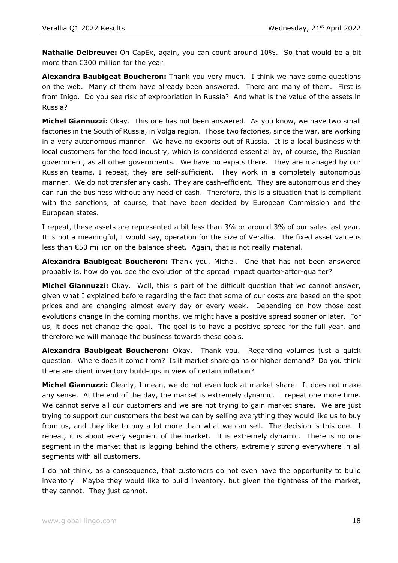**Nathalie Delbreuve:** On CapEx, again, you can count around 10%. So that would be a bit more than €300 million for the year.

**Alexandra Baubigeat Boucheron:** Thank you very much. I think we have some questions on the web. Many of them have already been answered. There are many of them. First is from Inigo. Do you see risk of expropriation in Russia? And what is the value of the assets in Russia?

**Michel Giannuzzi:** Okay. This one has not been answered. As you know, we have two small factories in the South of Russia, in Volga region. Those two factories, since the war, are working in a very autonomous manner. We have no exports out of Russia. It is a local business with local customers for the food industry, which is considered essential by, of course, the Russian government, as all other governments. We have no expats there. They are managed by our Russian teams. I repeat, they are self-sufficient. They work in a completely autonomous manner. We do not transfer any cash. They are cash-efficient. They are autonomous and they can run the business without any need of cash. Therefore, this is a situation that is compliant with the sanctions, of course, that have been decided by European Commission and the European states.

I repeat, these assets are represented a bit less than 3% or around 3% of our sales last year. It is not a meaningful, I would say, operation for the size of Verallia. The fixed asset value is less than €50 million on the balance sheet. Again, that is not really material.

**Alexandra Baubigeat Boucheron:** Thank you, Michel. One that has not been answered probably is, how do you see the evolution of the spread impact quarter-after-quarter?

**Michel Giannuzzi:** Okay. Well, this is part of the difficult question that we cannot answer, given what I explained before regarding the fact that some of our costs are based on the spot prices and are changing almost every day or every week. Depending on how those cost evolutions change in the coming months, we might have a positive spread sooner or later. For us, it does not change the goal. The goal is to have a positive spread for the full year, and therefore we will manage the business towards these goals.

**Alexandra Baubigeat Boucheron:** Okay. Thank you. Regarding volumes just a quick question. Where does it come from? Is it market share gains or higher demand? Do you think there are client inventory build-ups in view of certain inflation?

**Michel Giannuzzi:** Clearly, I mean, we do not even look at market share. It does not make any sense. At the end of the day, the market is extremely dynamic. I repeat one more time. We cannot serve all our customers and we are not trying to gain market share. We are just trying to support our customers the best we can by selling everything they would like us to buy from us, and they like to buy a lot more than what we can sell. The decision is this one. I repeat, it is about every segment of the market. It is extremely dynamic. There is no one segment in the market that is lagging behind the others, extremely strong everywhere in all segments with all customers.

I do not think, as a consequence, that customers do not even have the opportunity to build inventory. Maybe they would like to build inventory, but given the tightness of the market, they cannot. They just cannot.